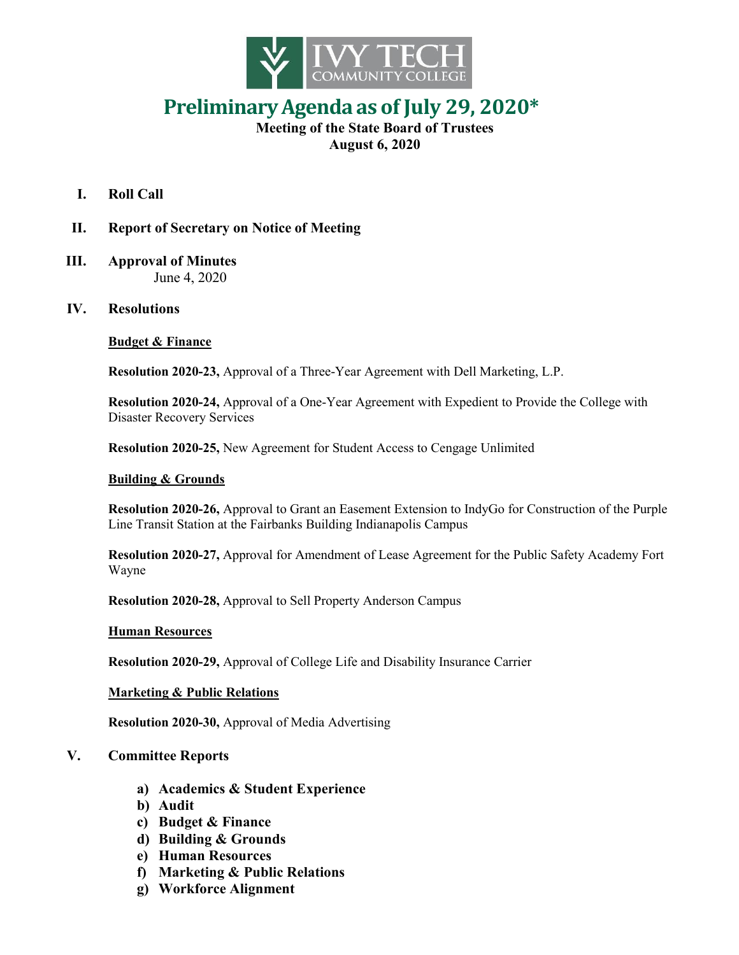

# **PreliminaryAgenda as of July 29, 2020\***

## **Meeting of the State Board of Trustees August 6, 2020**

- **I. Roll Call**
- **II. Report of Secretary on Notice of Meeting**
- **III. Approval of Minutes** June 4, 2020
- **IV. Resolutions**

## **Budget & Finance**

**Resolution 2020-23,** Approval of a Three-Year Agreement with Dell Marketing, L.P.

**Resolution 2020-24,** Approval of a One-Year Agreement with Expedient to Provide the College with Disaster Recovery Services

**Resolution 2020-25,** New Agreement for Student Access to Cengage Unlimited

#### **Building & Grounds**

**Resolution 2020-26,** Approval to Grant an Easement Extension to IndyGo for Construction of the Purple Line Transit Station at the Fairbanks Building Indianapolis Campus

**Resolution 2020-27,** Approval for Amendment of Lease Agreement for the Public Safety Academy Fort Wayne

**Resolution 2020-28,** Approval to Sell Property Anderson Campus

## **Human Resources**

**Resolution 2020-29,** Approval of College Life and Disability Insurance Carrier

## **Marketing & Public Relations**

**Resolution 2020-30,** Approval of Media Advertising

## **V. Committee Reports**

- **a) Academics & Student Experience**
- **b) Audit**
- **c) Budget & Finance**
- **d) Building & Grounds**
- **e) Human Resources**
- **f) Marketing & Public Relations**
- **g) Workforce Alignment**